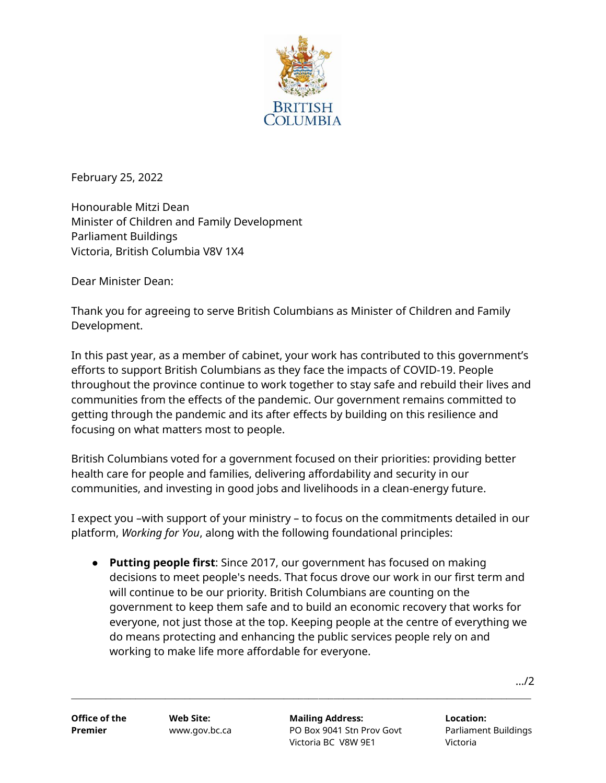

February 25, 2022

Honourable Mitzi Dean Minister of Children and Family Development Parliament Buildings Victoria, British Columbia V8V 1X4

Dear Minister Dean:

Thank you for agreeing to serve British Columbians as Minister of Children and Family Development.

In this past year, as a member of cabinet, your work has contributed to this government's efforts to support British Columbians as they face the impacts of COVID-19. People throughout the province continue to work together to stay safe and rebuild their lives and communities from the effects of the pandemic. Our government remains committed to getting through the pandemic and its after effects by building on this resilience and focusing on what matters most to people.

British Columbians voted for a government focused on their priorities: providing better health care for people and families, delivering affordability and security in our communities, and investing in good jobs and livelihoods in a clean-energy future.

I expect you –with support of your ministry – to focus on the commitments detailed in our platform, *Working for You*, along with the following foundational principles:

● **Putting people first**: Since 2017, our government has focused on making decisions to meet people's needs. That focus drove our work in our first term and will continue to be our priority. British Columbians are counting on the government to keep them safe and to build an economic recovery that works for everyone, not just those at the top. Keeping people at the centre of everything we do means protecting and enhancing the public services people rely on and working to make life more affordable for everyone.

**\_\_\_\_\_\_\_\_\_\_\_\_\_\_\_\_\_\_\_\_\_\_\_\_\_\_\_\_\_\_\_\_\_\_\_\_\_\_\_\_\_\_\_\_\_\_\_\_\_\_\_\_\_\_\_\_\_\_\_\_\_\_\_\_\_\_\_\_\_\_\_\_\_\_\_\_\_\_\_\_\_\_\_\_\_\_\_\_\_\_\_\_\_**

…/2

**Office of the Web Site: Mailing Address: Location: Premier** www.gov.bc.ca PO Box 9041 Stn Prov Govt Parliament Buildings Victoria BC V8W 9E1 Victoria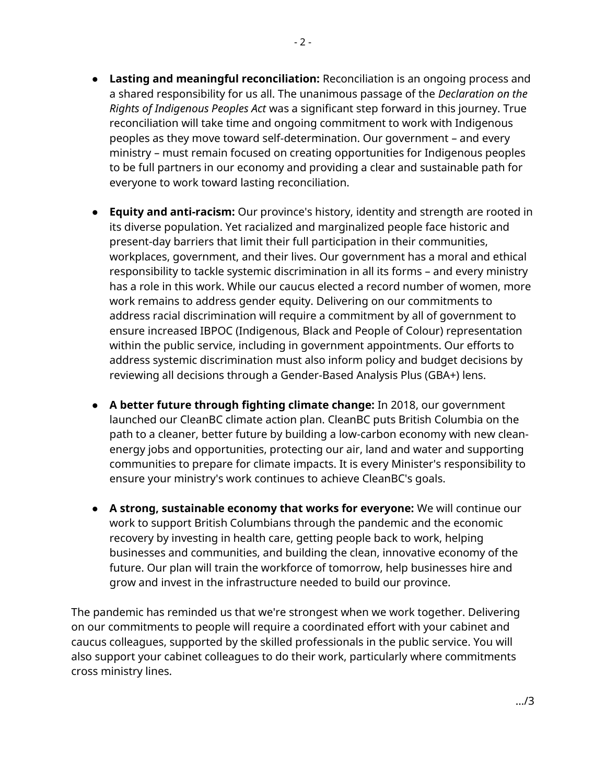- **Lasting and meaningful reconciliation:** Reconciliation is an ongoing process and a shared responsibility for us all. The unanimous passage of the *Declaration on the Rights of Indigenous Peoples Act* was a significant step forward in this journey. True reconciliation will take time and ongoing commitment to work with Indigenous peoples as they move toward self-determination. Our government – and every ministry – must remain focused on creating opportunities for Indigenous peoples to be full partners in our economy and providing a clear and sustainable path for everyone to work toward lasting reconciliation.
- **Equity and anti-racism:** Our province's history, identity and strength are rooted in its diverse population. Yet racialized and marginalized people face historic and present-day barriers that limit their full participation in their communities, workplaces, government, and their lives. Our government has a moral and ethical responsibility to tackle systemic discrimination in all its forms – and every ministry has a role in this work. While our caucus elected a record number of women, more work remains to address gender equity. Delivering on our commitments to address racial discrimination will require a commitment by all of government to ensure increased IBPOC (Indigenous, Black and People of Colour) representation within the public service, including in government appointments. Our efforts to address systemic discrimination must also inform policy and budget decisions by reviewing all decisions through a Gender-Based Analysis Plus (GBA+) lens.
- **A better future through fighting climate change:** In 2018, our government launched our CleanBC climate action plan. CleanBC puts British Columbia on the path to a cleaner, better future by building a low-carbon economy with new cleanenergy jobs and opportunities, protecting our air, land and water and supporting communities to prepare for climate impacts. It is every Minister's responsibility to ensure your ministry's work continues to achieve CleanBC's goals.
- **A strong, sustainable economy that works for everyone:** We will continue our work to support British Columbians through the pandemic and the economic recovery by investing in health care, getting people back to work, helping businesses and communities, and building the clean, innovative economy of the future. Our plan will train the workforce of tomorrow, help businesses hire and grow and invest in the infrastructure needed to build our province.

The pandemic has reminded us that we're strongest when we work together. Delivering on our commitments to people will require a coordinated effort with your cabinet and caucus colleagues, supported by the skilled professionals in the public service. You will also support your cabinet colleagues to do their work, particularly where commitments cross ministry lines.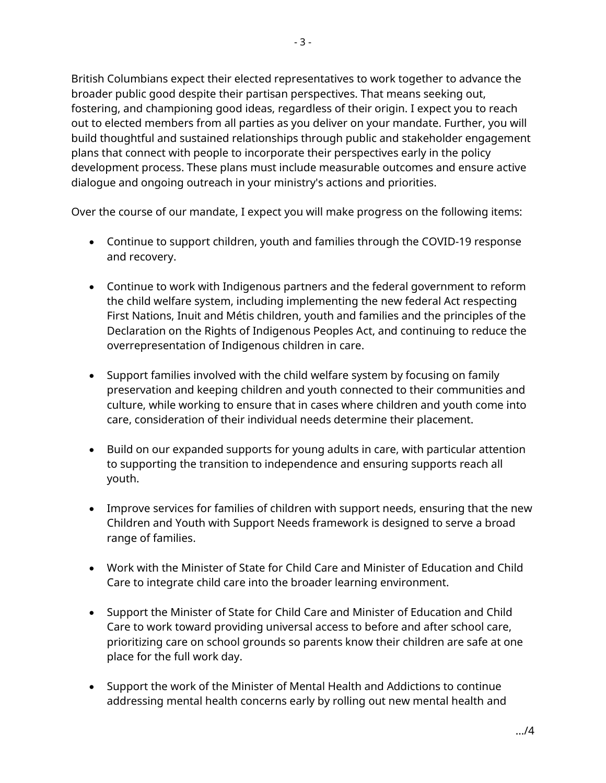British Columbians expect their elected representatives to work together to advance the broader public good despite their partisan perspectives. That means seeking out, fostering, and championing good ideas, regardless of their origin. I expect you to reach out to elected members from all parties as you deliver on your mandate. Further, you will build thoughtful and sustained relationships through public and stakeholder engagement plans that connect with people to incorporate their perspectives early in the policy development process. These plans must include measurable outcomes and ensure active dialogue and ongoing outreach in your ministry's actions and priorities.

Over the course of our mandate, I expect you will make progress on the following items:

- Continue to support children, youth and families through the COVID-19 response and recovery.
- Continue to work with Indigenous partners and the federal government to reform the child welfare system, including implementing the new federal Act respecting First Nations, Inuit and Métis children, youth and families and the principles of the Declaration on the Rights of Indigenous Peoples Act, and continuing to reduce the overrepresentation of Indigenous children in care.
- Support families involved with the child welfare system by focusing on family preservation and keeping children and youth connected to their communities and culture, while working to ensure that in cases where children and youth come into care, consideration of their individual needs determine their placement.
- Build on our expanded supports for young adults in care, with particular attention to supporting the transition to independence and ensuring supports reach all youth.
- Improve services for families of children with support needs, ensuring that the new Children and Youth with Support Needs framework is designed to serve a broad range of families.
- Work with the Minister of State for Child Care and Minister of Education and Child Care to integrate child care into the broader learning environment.
- Support the Minister of State for Child Care and Minister of Education and Child Care to work toward providing universal access to before and after school care, prioritizing care on school grounds so parents know their children are safe at one place for the full work day.
- Support the work of the Minister of Mental Health and Addictions to continue addressing mental health concerns early by rolling out new mental health and